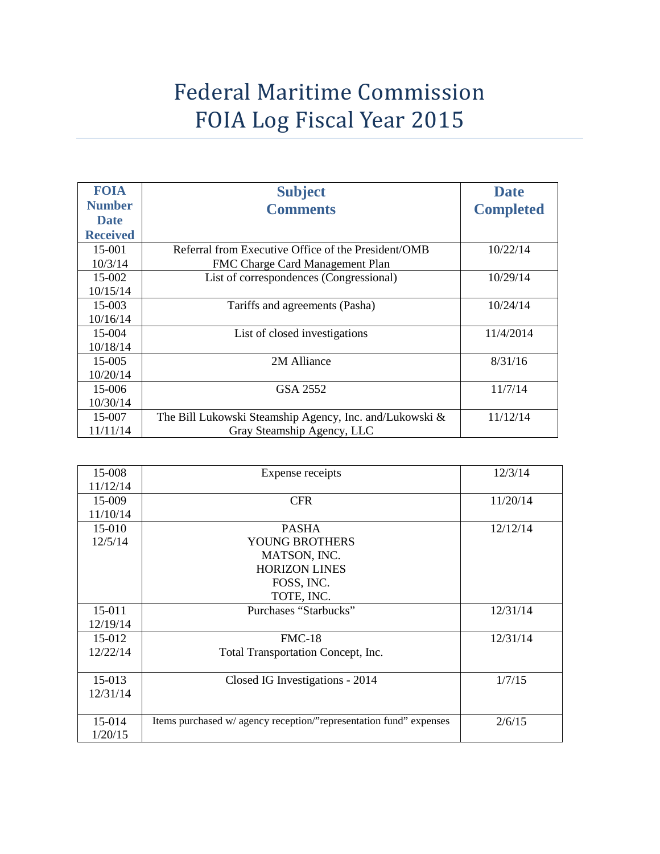## Federal Maritime Commission FOIA Log Fiscal Year 2015

| <b>FOIA</b>     | <b>Subject</b>                                          | <b>Date</b>      |
|-----------------|---------------------------------------------------------|------------------|
| <b>Number</b>   | <b>Comments</b>                                         | <b>Completed</b> |
| <b>Date</b>     |                                                         |                  |
| <b>Received</b> |                                                         |                  |
| 15-001          | Referral from Executive Office of the President/OMB     | 10/22/14         |
| 10/3/14         | FMC Charge Card Management Plan                         |                  |
| $15-002$        | List of correspondences (Congressional)                 | 10/29/14         |
| 10/15/14        |                                                         |                  |
| $15-003$        | Tariffs and agreements (Pasha)                          | 10/24/14         |
| 10/16/14        |                                                         |                  |
| 15-004          | List of closed investigations                           | 11/4/2014        |
| 10/18/14        |                                                         |                  |
| $15-005$        | 2M Alliance                                             | 8/31/16          |
| 10/20/14        |                                                         |                  |
| 15-006          | GSA 2552                                                | 11/7/14          |
| 10/30/14        |                                                         |                  |
| 15-007          | The Bill Lukowski Steamship Agency, Inc. and/Lukowski & | 11/12/14         |
| 11/11/14        | Gray Steamship Agency, LLC                              |                  |

| 15-008   | Expense receipts                                                   | 12/3/14  |
|----------|--------------------------------------------------------------------|----------|
| 11/12/14 |                                                                    |          |
| 15-009   | <b>CFR</b>                                                         | 11/20/14 |
| 11/10/14 |                                                                    |          |
| 15-010   | <b>PASHA</b>                                                       | 12/12/14 |
| 12/5/14  | YOUNG BROTHERS                                                     |          |
|          | MATSON, INC.                                                       |          |
|          | <b>HORIZON LINES</b>                                               |          |
|          | FOSS, INC.                                                         |          |
|          | TOTE, INC.                                                         |          |
| 15-011   | Purchases "Starbucks"                                              | 12/31/14 |
| 12/19/14 |                                                                    |          |
| 15-012   | $FMC-18$                                                           | 12/31/14 |
| 12/22/14 | Total Transportation Concept, Inc.                                 |          |
|          |                                                                    |          |
| 15-013   | Closed IG Investigations - 2014                                    | 1/7/15   |
| 12/31/14 |                                                                    |          |
|          |                                                                    |          |
| 15-014   | Items purchased w/ agency reception/"representation fund" expenses | 2/6/15   |
| 1/20/15  |                                                                    |          |